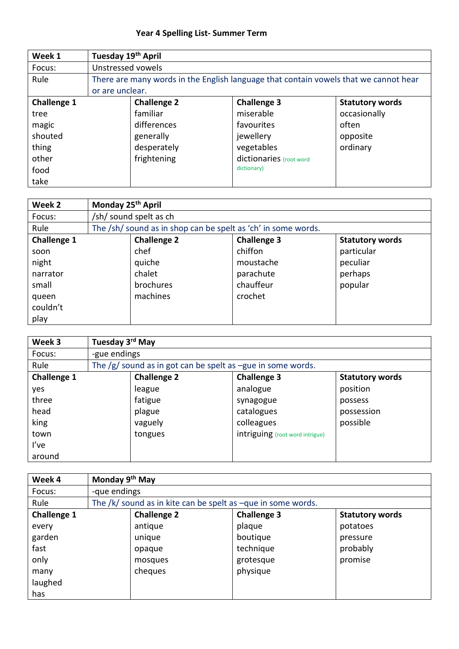## **Year 4 Spelling List- Summer Term**

| Week 1             | Tuesday 19th April |                    |                                                                                      |                        |
|--------------------|--------------------|--------------------|--------------------------------------------------------------------------------------|------------------------|
| Focus:             | Unstressed vowels  |                    |                                                                                      |                        |
| Rule               |                    |                    | There are many words in the English language that contain vowels that we cannot hear |                        |
|                    | or are unclear.    |                    |                                                                                      |                        |
| <b>Challenge 1</b> |                    | <b>Challenge 2</b> | <b>Challenge 3</b>                                                                   | <b>Statutory words</b> |
| tree               |                    | familiar           | miserable                                                                            | occasionally           |
| magic              |                    | differences        | favourites                                                                           | often                  |
| shouted            |                    | generally          | jewellery                                                                            | opposite               |
| thing              |                    | desperately        | vegetables                                                                           | ordinary               |
| other              |                    | frightening        | dictionaries (root word                                                              |                        |
| food               |                    |                    | dictionary)                                                                          |                        |
| take               |                    |                    |                                                                                      |                        |

| Week 2             | Monday 25 <sup>th</sup> April                                 |                    |                        |
|--------------------|---------------------------------------------------------------|--------------------|------------------------|
| Focus:             | /sh/ sound spelt as ch                                        |                    |                        |
| Rule               | The /sh/ sound as in shop can be spelt as 'ch' in some words. |                    |                        |
| <b>Challenge 1</b> | <b>Challenge 2</b>                                            | <b>Challenge 3</b> | <b>Statutory words</b> |
| soon               | chef                                                          | chiffon            | particular             |
| night              | quiche                                                        | moustache          | peculiar               |
| narrator           | chalet                                                        | parachute          | perhaps                |
| small              | brochures                                                     | chauffeur          | popular                |
| queen              | machines                                                      | crochet            |                        |
| couldn't           |                                                               |                    |                        |
| play               |                                                               |                    |                        |

| Week 3             | Tuesday 3 <sup>rd</sup> May |                                                              |                                 |                        |
|--------------------|-----------------------------|--------------------------------------------------------------|---------------------------------|------------------------|
| Focus:             | -gue endings                |                                                              |                                 |                        |
| Rule               |                             | The $/g$ sound as in got can be spelt as -gue in some words. |                                 |                        |
| <b>Challenge 1</b> |                             | <b>Challenge 2</b>                                           | <b>Challenge 3</b>              | <b>Statutory words</b> |
| yes                |                             | league                                                       | analogue                        | position               |
| three              |                             | fatigue                                                      | synagogue                       | possess                |
| head               |                             | plague                                                       | catalogues                      | possession             |
| king               |                             | vaguely                                                      | colleagues                      | possible               |
| town               |                             | tongues                                                      | intriguing (root word intrigue) |                        |
| I've               |                             |                                                              |                                 |                        |
| around             |                             |                                                              |                                 |                        |

| Week 4             |              | Monday 9 <sup>th</sup> May                                        |  |                    |                        |
|--------------------|--------------|-------------------------------------------------------------------|--|--------------------|------------------------|
| Focus:             | -que endings |                                                                   |  |                    |                        |
| Rule               |              | The $/k/$ sound as in kite can be spelt as $-qu$ e in some words. |  |                    |                        |
| <b>Challenge 1</b> |              | <b>Challenge 2</b>                                                |  | <b>Challenge 3</b> | <b>Statutory words</b> |
| every              |              | antique                                                           |  | plaque             | potatoes               |
| garden             |              | unique                                                            |  | boutique           | pressure               |
| fast               |              | opaque                                                            |  | technique          | probably               |
| only               |              | mosques                                                           |  | grotesque          | promise                |
| many               |              | cheques                                                           |  | physique           |                        |
| laughed            |              |                                                                   |  |                    |                        |
| has                |              |                                                                   |  |                    |                        |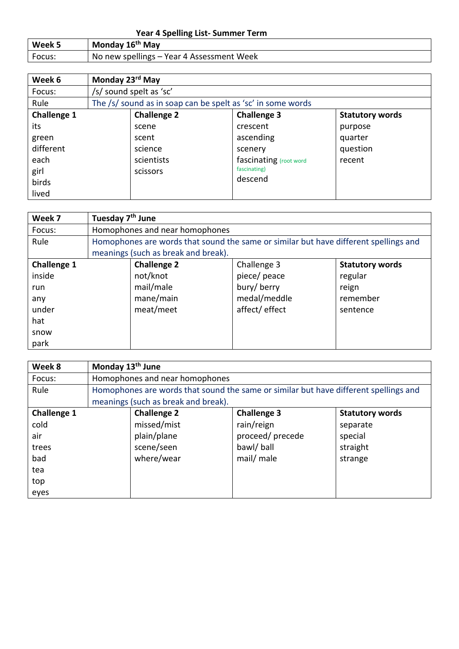## **Year 4 Spelling List- Summer Term**

| Week 5 | Monday 16 <sup>th</sup> May               |
|--------|-------------------------------------------|
| Focus: | No new spellings - Year 4 Assessment Week |

| Week 6             | Monday 23 <sup>rd</sup> May |                                                             |                        |                        |
|--------------------|-----------------------------|-------------------------------------------------------------|------------------------|------------------------|
| Focus:             |                             | /s/ sound spelt as 'sc'                                     |                        |                        |
| Rule               |                             | The /s/ sound as in soap can be spelt as 'sc' in some words |                        |                        |
| <b>Challenge 1</b> |                             | <b>Challenge 2</b>                                          | <b>Challenge 3</b>     | <b>Statutory words</b> |
| its                |                             | scene                                                       | crescent               | purpose                |
| green              |                             | scent                                                       | ascending              | quarter                |
| different          |                             | science                                                     | scenery                | question               |
| each               |                             | scientists                                                  | fascinating (root word | recent                 |
| girl               |                             | scissors                                                    | fascinating)           |                        |
| birds              |                             |                                                             | descend                |                        |
| lived              |                             |                                                             |                        |                        |

| Week 7             | Tuesday 7 <sup>th</sup> June |                                     |                                                                                      |                        |
|--------------------|------------------------------|-------------------------------------|--------------------------------------------------------------------------------------|------------------------|
| Focus:             |                              | Homophones and near homophones      |                                                                                      |                        |
| Rule               |                              |                                     | Homophones are words that sound the same or similar but have different spellings and |                        |
|                    |                              | meanings (such as break and break). |                                                                                      |                        |
| <b>Challenge 1</b> |                              | <b>Challenge 2</b>                  | Challenge 3                                                                          | <b>Statutory words</b> |
| inside             |                              | not/knot                            | piece/ peace                                                                         | regular                |
| run                |                              | mail/male                           | bury/berry                                                                           | reign                  |
| any                |                              | mane/main                           | medal/meddle                                                                         | remember               |
| under              |                              | meat/meet                           | affect/effect                                                                        | sentence               |
| hat                |                              |                                     |                                                                                      |                        |
| snow               |                              |                                     |                                                                                      |                        |
| park               |                              |                                     |                                                                                      |                        |

| Week 8             | Monday 13 <sup>th</sup> June |                                     |                                                                                      |                        |
|--------------------|------------------------------|-------------------------------------|--------------------------------------------------------------------------------------|------------------------|
| Focus:             |                              | Homophones and near homophones      |                                                                                      |                        |
| Rule               |                              |                                     | Homophones are words that sound the same or similar but have different spellings and |                        |
|                    |                              | meanings (such as break and break). |                                                                                      |                        |
| <b>Challenge 1</b> |                              | <b>Challenge 2</b>                  | <b>Challenge 3</b>                                                                   | <b>Statutory words</b> |
| cold               |                              | missed/mist                         | rain/reign                                                                           | separate               |
| air                |                              | plain/plane                         | proceed/precede                                                                      | special                |
| trees              |                              | scene/seen                          | bawl/ball                                                                            | straight               |
| bad                |                              | where/wear                          | mail/ male                                                                           | strange                |
| tea                |                              |                                     |                                                                                      |                        |
| top                |                              |                                     |                                                                                      |                        |
| eyes               |                              |                                     |                                                                                      |                        |